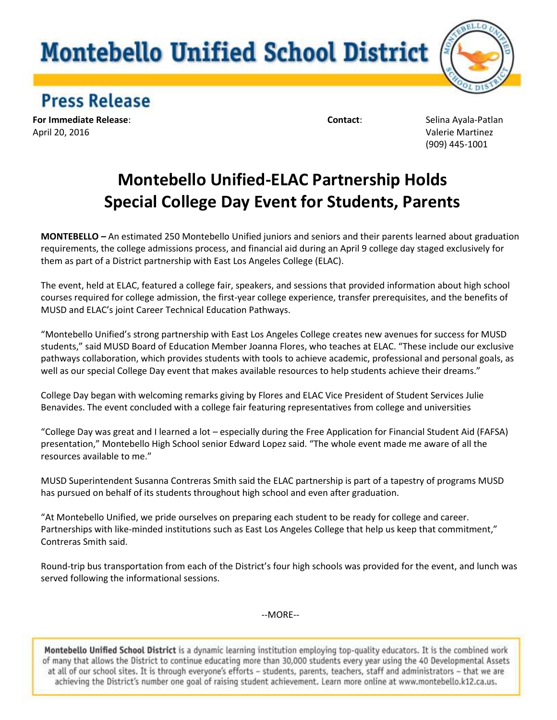## **Montebello Unified School District**



## **Press Release**

**For Immediate Release**: **Contact**: Selina Ayala-Patlan April 20, 2016 Valerie Martinez

(909) 445-1001

## **Montebello Unified-ELAC Partnership Holds Special College Day Event for Students, Parents**

**MONTEBELLO** *–* An estimated 250 Montebello Unified juniors and seniors and their parents learned about graduation requirements, the college admissions process, and financial aid during an April 9 college day staged exclusively for them as part of a District partnership with East Los Angeles College (ELAC).

The event, held at ELAC, featured a college fair, speakers, and sessions that provided information about high school courses required for college admission, the first-year college experience, transfer prerequisites, and the benefits of MUSD and ELAC's joint Career Technical Education Pathways.

"Montebello Unified's strong partnership with East Los Angeles College creates new avenues for success for MUSD students," said MUSD Board of Education Member Joanna Flores, who teaches at ELAC. "These include our exclusive pathways collaboration, which provides students with tools to achieve academic, professional and personal goals, as well as our special College Day event that makes available resources to help students achieve their dreams."

College Day began with welcoming remarks giving by Flores and ELAC Vice President of Student Services Julie Benavides. The event concluded with a college fair featuring representatives from college and universities

"College Day was great and I learned a lot – especially during the Free Application for Financial Student Aid (FAFSA) presentation," Montebello High School senior Edward Lopez said. "The whole event made me aware of all the resources available to me."

MUSD Superintendent Susanna Contreras Smith said the ELAC partnership is part of a tapestry of programs MUSD has pursued on behalf of its students throughout high school and even after graduation.

"At Montebello Unified, we pride ourselves on preparing each student to be ready for college and career. Partnerships with like-minded institutions such as East Los Angeles College that help us keep that commitment," Contreras Smith said.

Round-trip bus transportation from each of the District's four high schools was provided for the event, and lunch was served following the informational sessions.

--MORE--

Montebello Unified School District is a dynamic learning institution employing top-quality educators. It is the combined work of many that allows the District to continue educating more than 30,000 students every year using the 40 Developmental Assets at all of our school sites. It is through everyone's efforts - students, parents, teachers, staff and administrators - that we are achieving the District's number one goal of raising student achievement. Learn more online at www.montebello.k12.ca.us.